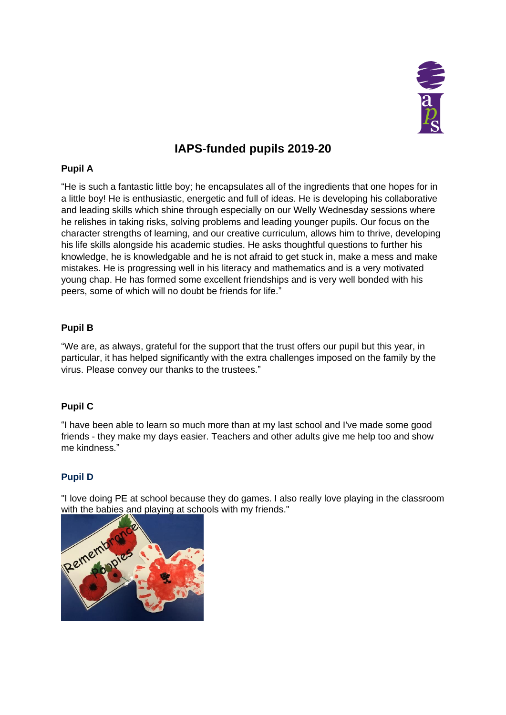

# **IAPS-funded pupils 2019-20**

## **Pupil A**

"He is such a fantastic little boy; he encapsulates all of the ingredients that one hopes for in a little boy! He is enthusiastic, energetic and full of ideas. He is developing his collaborative and leading skills which shine through especially on our Welly Wednesday sessions where he relishes in taking risks, solving problems and leading younger pupils. Our focus on the character strengths of learning, and our creative curriculum, allows him to thrive, developing his life skills alongside his academic studies. He asks thoughtful questions to further his knowledge, he is knowledgable and he is not afraid to get stuck in, make a mess and make mistakes. He is progressing well in his literacy and mathematics and is a very motivated young chap. He has formed some excellent friendships and is very well bonded with his peers, some of which will no doubt be friends for life."

### **Pupil B**

"We are, as always, grateful for the support that the trust offers our pupil but this year, in particular, it has helped significantly with the extra challenges imposed on the family by the virus. Please convey our thanks to the trustees."

### **Pupil C**

"I have been able to learn so much more than at my last school and I've made some good friends - they make my days easier. Teachers and other adults give me help too and show me kindness."

# **Pupil D**

"I love doing PE at school because they do games. I also really love playing in the classroom with the babies and playing at schools with my friends."